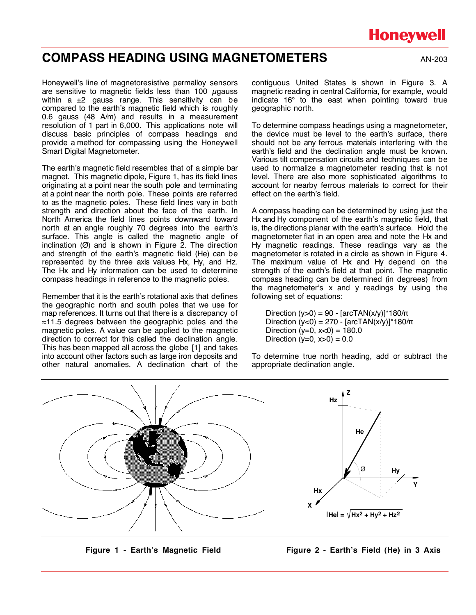# **Honeywell**

## **COMPASS HEADING USING MAGNETOMETERS** AN-203

Honeywell's line of magnetoresistive permalloy sensors are sensitive to magnetic fields less than 100 µgauss within a  $\pm 2$  gauss range. This sensitivity can be compared to the earth's magnetic field which is roughly 0.6 gauss (48 A/m) and results in a measurement resolution of 1 part in 6,000. This applications note will discuss basic principles of compass headings and provide a method for compassing using the Honeywell Smart Digital Magnetometer.

The earth's magnetic field resembles that of a simple bar magnet. This magnetic dipole, Figure 1, has its field lines originating at a point near the south pole and terminating at a point near the north pole. These points are referred to as the magnetic poles. These field lines vary in both strength and direction about the face of the earth. In North America the field lines points downward toward north at an angle roughly 70 degrees into the earth's surface. This angle is called the magnetic angle of inclination  $(Ø)$  and is shown in Figure 2. The direction and strength of the earth's magnetic field (He) can be represented by the three axis values Hx, Hy, and Hz. The Hx and Hy information can be used to determine compass headings in reference to the magnetic poles.

Remember that it is the earth's rotational axis that defines the geographic north and south poles that we use for map references. It turns out that there is a discrepancy of  $\approx$ 11.5 degrees between the geographic poles and the magnetic poles. A value can be applied to the magnetic direction to correct for this called the declination angle. This has been mapped all across the globe [1] and takes into account other factors such as large iron deposits and other natural anomalies. A declination chart of the

contiguous United States is shown in Figure 3. A magnetic reading in central California, for example, would indicate 16° to the east when pointing toward true geographic north.

To determine compass headings using a magnetometer, the device must be level to the earth's surface, there should not be any ferrous materials interfering with the earth's field and the declination angle must be known. Various tilt compensation circuits and techniques can be used to normalize a magnetometer reading that is not level. There are also more sophisticated algorithms to account for nearby ferrous materials to correct for their effect on the earth's field.

A compass heading can be determined by using just the Hx and Hy component of the earth's magnetic field, that is, the directions planar with the earth's surface. Hold the magnetometer flat in an open area and note the Hx and Hy magnetic readings. These readings vary as the magnetometer is rotated in a circle as shown in Figure 4. The maximum value of Hx and Hy depend on the strength of the earth's field at that point. The magnetic compass heading can be determined (in degrees) from the magnetometer's x and y readings by using the following set of equations:

Direction  $(y>0) = 90 - [arctAN(x/y)]^*180/\pi$ Direction  $(y<0) = 270 - [arctAN(x/y)]^*180/\pi$ Direction  $(y=0, x<0) = 180.0$ Direction ( $y=0$ ,  $x>0$ ) = 0.0

To determine true north heading, add or subtract the appropriate declination angle.



Figure 1 - Earth's Magnetic Field **Figure 2 - Earth's Field (He) in 3 Axis**